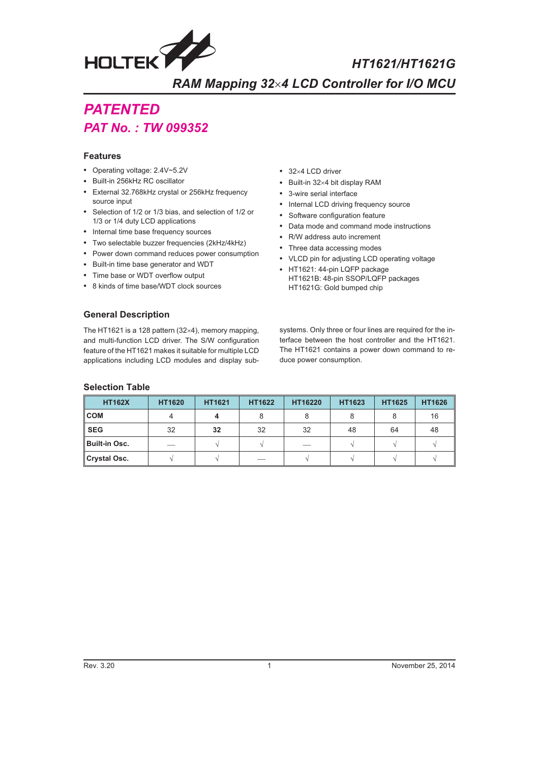

HT1621/HT1621G

**RAM Mapping 32×4 LCD Controller for I/O MCU** *4 LCD Controller for I/O MCU*

# **PATENTED** *PAT N<sub>O</sub> · TIM*

## **Features**

- [Operating voltag](http://www.holtek.com.tw/english/tech/appnote/appnote.htm)e: 2.4V~5.2V
- Built-in 256kHz RC oscillator
- External 32.768kHz crystal or 256kHz frequency source input
- Selection of 1/2 or 1/3 bias, and selection of 1/2 or 1/3 or 1/4 duty LCD applications
- Internal time base frequency sources
- Two selectable buzzer frequencies (2kHz/4kHz)
- Power down command reduces power consumption
- Built-in time base generator and WDT
- Time base or WDT overflow output
- 8 kinds of time base/WDT clock sources
- $\cdot$  32×4 LCD driver
- $\bullet$  Built-in 32×4 bit display RAM
- 3-wire serial interface
- Internal LCD driving frequency source
- Software configuration feature
- Data mode and command mode instructions
- R/W address auto increment
- Three data accessing modes
- VLCD pin for adjusting LCD operating voltage
- HT1621: 44-pin LQFP package HT1621B: 48-pin SSOP/LQFP packages HT1621G: Gold bumped chip

## **General Description**

The HT1621 is a 128 pattern  $(32\times4)$ , memory mapping, and multi-function LCD driver. The S/W configuration feature of the HT1621 makes it suitable for multiple LCD applications including LCD modules and display sub-

systems. Only three or four lines are required for the interface between the host controller and the HT1621. The HT1621 contains a power down command to reduce power consumption.

### **Selection Table**

| <b>HT162X</b>        | <b>HT1620</b> | <b>HT1621</b> | <b>HT1622</b> | HT16220 | HT1623 | HT1625 | <b>HT1626</b> |
|----------------------|---------------|---------------|---------------|---------|--------|--------|---------------|
| $\mathsf{COM}$       |               |               |               |         |        |        | 16            |
| <b>SEG</b>           | 32            | 32            | 32            | 32      | 48     | 64     | 48            |
| <b>Built-in Osc.</b> |               |               |               |         |        |        |               |
| Crystal Osc.         |               |               |               |         |        |        |               |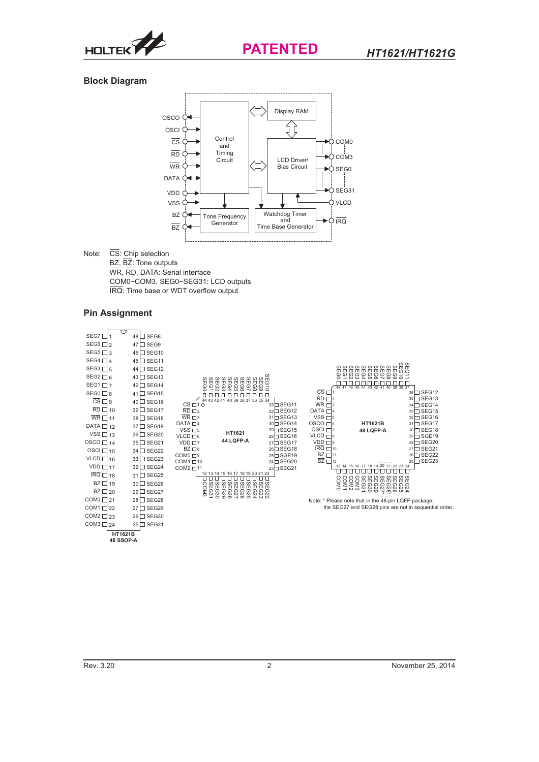

## **Block Diagram**



 $\overline{\text{CS}}$ : Chip selection Note: BZ, BZ: Tone outputs WR, RD, DATA: Serial interface COM0~COM3, SEG0~SEG31: LCD outputs IRQ: Time base or WDT overflow output

## **Pin Assignment**

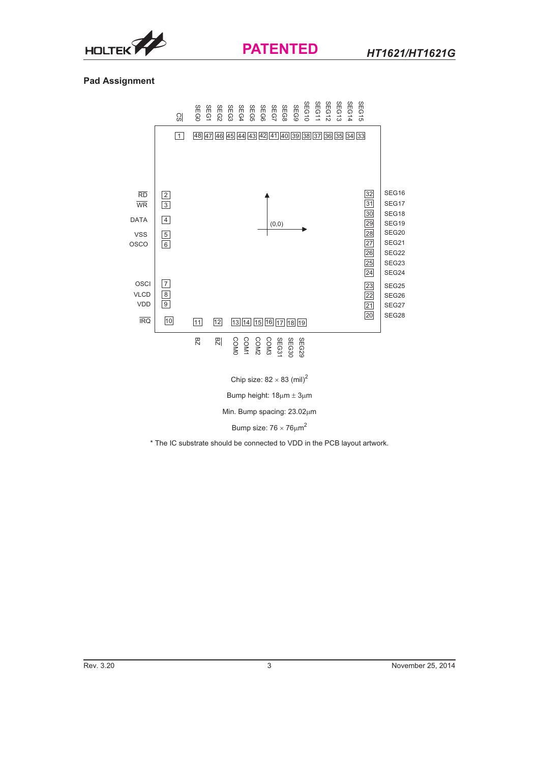

## **Pad Assignment**



Chip size:  $82 \times 83$  (mil)<sup>2</sup>

Bump height:  $18\mu m \pm 3\mu m$ 

Min. Bump spacing: 23.02µm

Bump size:  $76 \times 76 \mu m^2$ 

\* The IC substrate should be connected to VDD in the PCB layout artwork.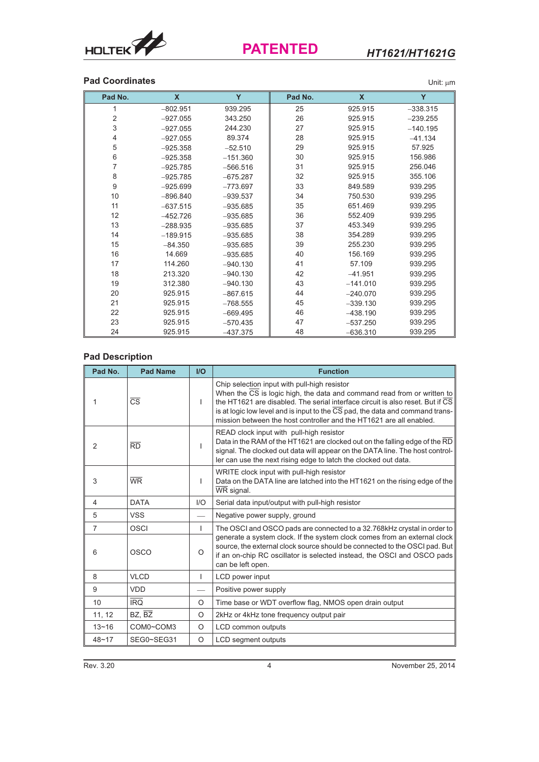

## *HT1621/HT1621G*

## **Pad Coordinates** Unit:  $\mu$ m

| Pad No.     | X          | Y          | Pad No. | X          | Υ          |
|-------------|------------|------------|---------|------------|------------|
| 1           | $-802.951$ | 939.295    | 25      | 925.915    | $-338.315$ |
| $\mathbf 2$ | $-927.055$ | 343.250    | 26      | 925.915    | $-239.255$ |
| 3           | $-927.055$ | 244.230    | 27      | 925.915    | $-140.195$ |
| 4           | $-927.055$ | 89.374     | 28      | 925.915    | $-41.134$  |
| 5           | $-925.358$ | $-52.510$  | 29      | 925.915    | 57.925     |
| 6           | $-925.358$ | $-151.360$ | 30      | 925.915    | 156.986    |
| 7           | $-925.785$ | $-566.516$ | 31      | 925.915    | 256.046    |
| 8           | $-925.785$ | $-675.287$ | 32      | 925.915    | 355.106    |
| 9           | $-925.699$ | $-773.697$ | 33      | 849.589    | 939.295    |
| 10          | $-896.840$ | $-939.537$ | 34      | 750.530    | 939.295    |
| 11          | $-637.515$ | $-935.685$ | 35      | 651.469    | 939.295    |
| 12          | $-452.726$ | $-935.685$ | 36      | 552.409    | 939.295    |
| 13          | $-288.935$ | $-935.685$ | 37      | 453.349    | 939.295    |
| 14          | $-189.915$ | $-935.685$ | 38      | 354.289    | 939.295    |
| 15          | $-84.350$  | $-935.685$ | 39      | 255.230    | 939.295    |
| 16          | 14.669     | $-935.685$ | 40      | 156.169    | 939.295    |
| 17          | 114.260    | $-940.130$ | 41      | 57.109     | 939.295    |
| 18          | 213.320    | $-940.130$ | 42      | $-41.951$  | 939.295    |
| 19          | 312.380    | $-940.130$ | 43      | $-141.010$ | 939.295    |
| 20          | 925.915    | $-867.615$ | 44      | $-240.070$ | 939.295    |
| 21          | 925.915    | $-768.555$ | 45      | $-339.130$ | 939.295    |
| 22          | 925.915    | $-669.495$ | 46      | $-438.190$ | 939.295    |
| 23          | 925.915    | $-570.435$ | 47      | $-537.250$ | 939.295    |
| 24          | 925.915    | $-437.375$ | 48      | $-636.310$ | 939.295    |

## **Pad Description**

| Pad No.        | <b>Pad Name</b>          | I/O          | <b>Function</b>                                                                                                                                                                                                                                                                                                                                                   |
|----------------|--------------------------|--------------|-------------------------------------------------------------------------------------------------------------------------------------------------------------------------------------------------------------------------------------------------------------------------------------------------------------------------------------------------------------------|
|                | $\overline{\text{CS}}$   | I.           | Chip selection input with pull-high resistor<br>When the CS is logic high, the data and command read from or written to<br>the HT1621 are disabled. The serial interface circuit is also reset. But if CS<br>is at logic low level and is input to the CS pad, the data and command trans-<br>mission between the host controller and the HT1621 are all enabled. |
| 2              | $\overline{RD}$          |              | READ clock input with pull-high resistor<br>Data in the RAM of the HT1621 are clocked out on the falling edge of the RD<br>signal. The clocked out data will appear on the DATA line. The host control-<br>ler can use the next rising edge to latch the clocked out data.                                                                                        |
| 3              | $\overline{\mathsf{WR}}$ | $\mathbf{I}$ | WRITE clock input with pull-high resistor<br>Data on the DATA line are latched into the HT1621 on the rising edge of the<br>WR signal.                                                                                                                                                                                                                            |
| 4              | <b>DATA</b>              | I/O          | Serial data input/output with pull-high resistor                                                                                                                                                                                                                                                                                                                  |
| 5              | <b>VSS</b>               |              | Negative power supply, ground                                                                                                                                                                                                                                                                                                                                     |
| $\overline{7}$ | OSCI                     | $\mathbf{I}$ | The OSCI and OSCO pads are connected to a 32.768kHz crystal in order to                                                                                                                                                                                                                                                                                           |
| 6              | OSCO                     | O            | generate a system clock. If the system clock comes from an external clock<br>source, the external clock source should be connected to the OSCI pad. But<br>if an on-chip RC oscillator is selected instead, the OSCI and OSCO pads<br>can be left open.                                                                                                           |
| 8              | <b>VLCD</b>              | $\mathbf{I}$ | LCD power input                                                                                                                                                                                                                                                                                                                                                   |
| 9              | <b>VDD</b>               |              | Positive power supply                                                                                                                                                                                                                                                                                                                                             |
| 10             | <b>IRQ</b>               | O            | Time base or WDT overflow flag, NMOS open drain output                                                                                                                                                                                                                                                                                                            |
| 11, 12         | BZ, BZ                   | O            | 2kHz or 4kHz tone frequency output pair                                                                                                                                                                                                                                                                                                                           |
| $13 - 16$      | COM0~COM3                | O            | LCD common outputs                                                                                                                                                                                                                                                                                                                                                |
| $48 - 17$      | SEG0~SEG31               | O            | <b>LCD</b> segment outputs                                                                                                                                                                                                                                                                                                                                        |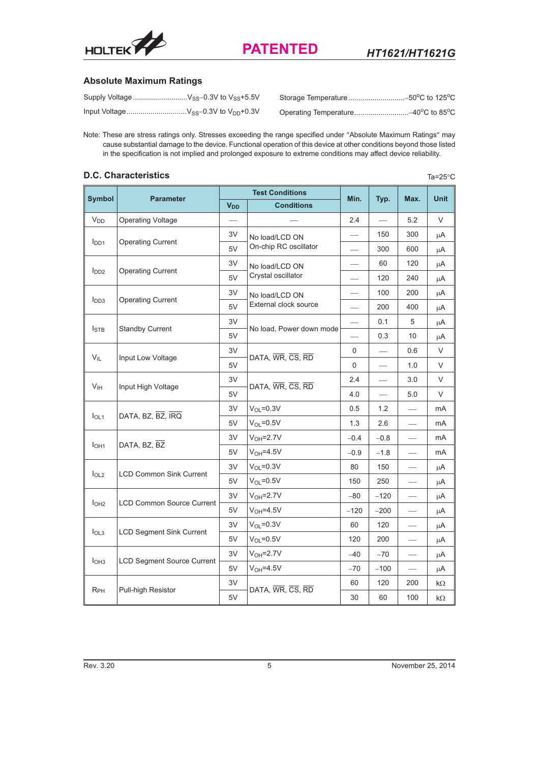

## **Absolute Maximum Ratings**

Note: These are stress ratings only. Stresses exceeding the range specified under "Absolute Maximum Ratings" may cause substantial damage to the device. Functional operation of this device at other conditions beyond those listed in the specification is not implied and prolonged exposure to extreme conditions may affect device reliability.

## **D.C. Characteristics**

Ta=25 $\mathrm{^{\circ}C}$ 

|                                                     |                                   |                       | <b>Test Conditions</b>   |                          |                          |                                  | <b>Unit</b> |
|-----------------------------------------------------|-----------------------------------|-----------------------|--------------------------|--------------------------|--------------------------|----------------------------------|-------------|
| <b>Symbol</b>                                       | <b>Parameter</b>                  | <b>V<sub>DD</sub></b> | <b>Conditions</b>        | Min.                     | Typ.                     | Max.                             |             |
| <b>V<sub>DD</sub></b>                               | <b>Operating Voltage</b>          | $\frac{1}{1}$         |                          | 2.4                      | $\equiv$                 | 5.2                              | V           |
|                                                     |                                   | 3V                    | No load/LCD ON           |                          | 150                      | 300                              | μA          |
| I <sub>DD1</sub>                                    | <b>Operating Current</b>          | 5V                    | On-chip RC oscillator    |                          | 300                      | 600                              | μA          |
| I <sub>DD2</sub>                                    |                                   | 3V                    | No load/LCD ON           |                          | 60                       | 120                              | μA          |
|                                                     | <b>Operating Current</b>          | 5V                    | Crystal oscillator       |                          | 120                      | 240                              | μA          |
| I <sub>DD3</sub>                                    |                                   | 3V                    | No load/LCD ON           |                          | 100                      | 200                              | μA          |
|                                                     | <b>Operating Current</b>          | 5V                    | External clock source    |                          | 200                      | 400                              | μA          |
|                                                     |                                   | 3V                    | No load, Power down mode |                          | 0.1                      | 5                                | μA          |
| $I_{\text{STB}}$                                    | <b>Standby Current</b>            | 5V                    |                          | $\overline{\phantom{0}}$ | 0.3                      | 10                               | μA          |
| $V_{IL}$                                            |                                   | 3V                    | DATA, WR, CS, RD         | 0                        |                          | 0.6                              | V           |
|                                                     | Input Low Voltage                 | 5V                    |                          | 0                        | $\overline{\phantom{0}}$ | 1.0                              | V           |
| V <sub>IH</sub>                                     | Input High Voltage                | 3V                    | DATA, WR, CS, RD         | 2.4                      |                          | 3.0                              | V           |
|                                                     |                                   | 5V                    |                          | 4.0                      | $\qquad \qquad$          | 5.0                              | V           |
| I <sub>OL1</sub>                                    | DATA, BZ, BZ, IRQ                 | 3V                    | $V_{OL} = 0.3V$          | 0.5                      | 1.2                      |                                  | mA          |
|                                                     |                                   | 5V                    | $V_{OL} = 0.5V$          | 1.3                      | 2.6                      |                                  | mA          |
| I <sub>OH1</sub>                                    | DATA, BZ, BZ                      | 3V                    | $V_{OH} = 2.7V$          | $-0.4$                   | $-0.8$                   |                                  | mA          |
|                                                     |                                   | 5V                    | $V_{OH} = 4.5V$          | $-0.9$                   | $-1.8$                   |                                  | mA          |
|                                                     | <b>LCD Common Sink Current</b>    | 3V                    | $V_{OL} = 0.3V$          | 80                       | 150                      |                                  | μA          |
| I <sub>OL2</sub>                                    |                                   | 5V                    | $V_{OL} = 0.5V$          | 150                      | 250                      |                                  | μA          |
| I <sub>OH2</sub>                                    | <b>LCD Common Source Current</b>  | 3V                    | $V_{OH} = 2.7V$          | $-80$                    | $-120$                   |                                  | μA          |
|                                                     |                                   | 5V                    | $V_{OH} = 4.5V$          | $-120$                   | $-200$                   |                                  | μA          |
|                                                     |                                   | 3V                    | $V_{OL} = 0.3V$          | 60                       | 120                      | $\overbrace{\phantom{aaaaa}}$    | μA          |
| I <sub>OL3</sub><br><b>LCD Segment Sink Current</b> |                                   | 5V                    | $V_{OL} = 0.5V$          | 120                      | 200                      |                                  | μA          |
|                                                     |                                   | 3V                    | $V_{OH} = 2.7V$          | $-40$                    | $-70$                    | $\overline{\phantom{0}}$         | μA          |
| I <sub>OH3</sub>                                    | <b>LCD Segment Source Current</b> | 5V                    | $V_{OH} = 4.5V$          | $-70$                    | $-100$                   | $\overbrace{\phantom{12322111}}$ | μA          |
|                                                     |                                   | 3V                    |                          | 60                       | 120                      | 200                              | $k\Omega$   |
| $R_{PH}$                                            | Pull-high Resistor                | 5V                    | DATA, WR, CS, RD         | 30                       | 60                       | 100                              | k $\Omega$  |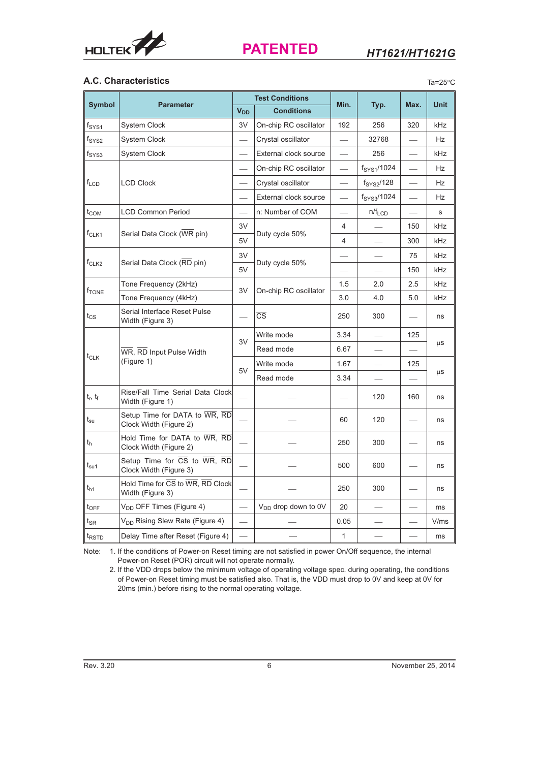

Ta=25 $\degree$ C

## **A.C. Characteristics**

|                                   |                                                                                               |                          | <b>Test Conditions</b>   |                          |                         |                          |             |
|-----------------------------------|-----------------------------------------------------------------------------------------------|--------------------------|--------------------------|--------------------------|-------------------------|--------------------------|-------------|
| <b>Symbol</b>                     | <b>Parameter</b>                                                                              | <b>V<sub>DD</sub></b>    | <b>Conditions</b>        | Min.                     | Typ.                    | Max.                     | <b>Unit</b> |
| fsys1                             | <b>System Clock</b>                                                                           | 3V                       | On-chip RC oscillator    | 192                      | 256                     | 320                      | kHz         |
| fsys2                             | <b>System Clock</b>                                                                           | $\frac{1}{2}$            | Crystal oscillator       | $\overline{\phantom{0}}$ | 32768                   |                          | Hz          |
| fsys3                             | <b>System Clock</b>                                                                           |                          | External clock source    |                          | 256                     |                          | kHz         |
|                                   |                                                                                               |                          | On-chip RC oscillator    | $\overline{\phantom{0}}$ | f <sub>SYS1</sub> /1024 |                          | Hz          |
| $f_{LCD}$                         | <b>LCD Clock</b>                                                                              |                          | Crystal oscillator       | $\overline{\phantom{0}}$ | f <sub>SYS2</sub> /128  | $\overline{\phantom{0}}$ | <b>Hz</b>   |
|                                   |                                                                                               |                          | External clock source    |                          | f <sub>SYS3</sub> /1024 |                          | Hz          |
| $t_{\mathsf{COM}}$                | <b>LCD Common Period</b>                                                                      |                          | n: Number of COM         | $\overline{\phantom{0}}$ | $n/f_{LCD}$             |                          | s           |
|                                   |                                                                                               | 3V                       |                          | 4                        |                         | 150                      | kHz         |
| $f_{CLK1}$                        | Serial Data Clock (WR pin)                                                                    | 5V                       | Duty cycle 50%           | $\overline{4}$           |                         | 300                      | kHz         |
|                                   |                                                                                               | 3V                       |                          |                          |                         | 75                       | kHz         |
| f <sub>CLK2</sub>                 | Serial Data Clock (RD pin)                                                                    | 5V                       | Duty cycle 50%           |                          |                         | 150                      | kHz         |
|                                   | Tone Frequency (2kHz)                                                                         |                          | On-chip RC oscillator    | 1.5                      | 2.0                     | 2.5                      | kHz         |
| $f_{\text{TONE}}$                 | Tone Frequency (4kHz)                                                                         | 3V                       |                          | 3.0                      | 4.0                     | 5.0                      | kHz         |
| tcs                               | Serial Interface Reset Pulse<br>Width (Figure 3)                                              |                          | $\overline{\text{CS}}$   | 250                      | 300                     |                          | ns          |
|                                   |                                                                                               |                          | Write mode               | 3.34                     |                         | 125                      |             |
|                                   | WR, RD Input Pulse Width<br>(Figure 1)                                                        | 3V                       | Read mode                | 6.67                     |                         |                          | $\mu$ S     |
| $t_{CLK}$                         |                                                                                               | 5V                       | Write mode               | 1.67                     |                         | 125                      |             |
|                                   |                                                                                               |                          | Read mode                | 3.34                     |                         |                          | $\mu$ S     |
| $t_r$ , $t_f$                     | Rise/Fall Time Serial Data Clock<br>Width (Figure 1)                                          |                          |                          |                          | 120                     | 160                      | ns          |
| $\bm{{\mathsf{t}}}_{\mathsf{su}}$ | Setup Time for DATA to WR, RD<br>Clock Width (Figure 2)                                       |                          |                          | 60                       | 120                     |                          | ns          |
| t <sub>h</sub>                    | Hold Time for DATA to WR, RD<br>Clock Width (Figure 2)                                        | –                        |                          | 250                      | 300                     |                          | ns          |
| $t_{\rm su1}$                     | Setup Time for $\overline{CS}$ to $\overline{WR}$ , $\overline{RD}$<br>Clock Width (Figure 3) |                          |                          | 500                      | 600                     |                          | ns          |
| t <sub>h1</sub>                   | Hold Time for CS to WR, RD Clock<br>Width (Figure 3)                                          | $\overline{\phantom{0}}$ |                          | 250                      | 300                     |                          | ns          |
| $t_{\mathsf{OFF}}$                | V <sub>DD</sub> OFF Times (Figure 4)                                                          |                          | $V_{DD}$ drop down to 0V | 20                       |                         |                          | ms          |
| t <sub>SR</sub>                   | V <sub>DD</sub> Rising Slew Rate (Figure 4)                                                   |                          |                          | 0.05                     |                         |                          | V/ms        |
| t <sub>RSTD</sub>                 | Delay Time after Reset (Figure 4)                                                             |                          |                          | $\mathbf{1}$             |                         |                          | ms          |

Note: 1. If the conditions of Power-on Reset timing are not satisfied in power On/Off sequence, the internal Power-on Reset (POR) circuit will not operate normally.

2. If the VDD drops below the minimum voltage of operating voltage spec. during operating, the conditions of Power-on Reset timing must be satisfied also. That is, the VDD must drop to 0V and keep at 0V for 20ms (min.) before rising to the normal operating voltage.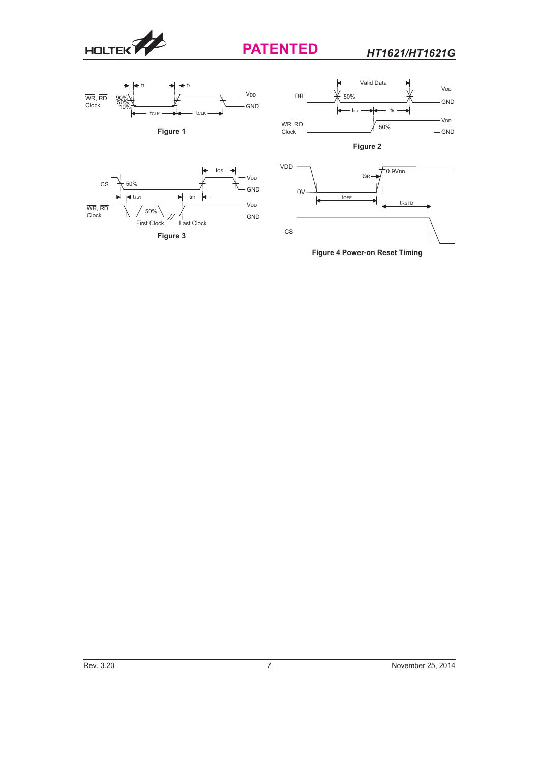

 $\overline{\text{cs}}$ 

-WR, R<br>Clock 50%

50%

First Clock Last

**Figure 3**

 $\blacktriangleleft$  tsu1  $\blacktriangleright$  th1

Last Clock

×

tcs

à

# **PATENTED**

GND

V<sub>DD</sub>

GND

V<sub>DD</sub>

*HT1621/HT1621G*





**Figure 4 Power-on Reset Timing**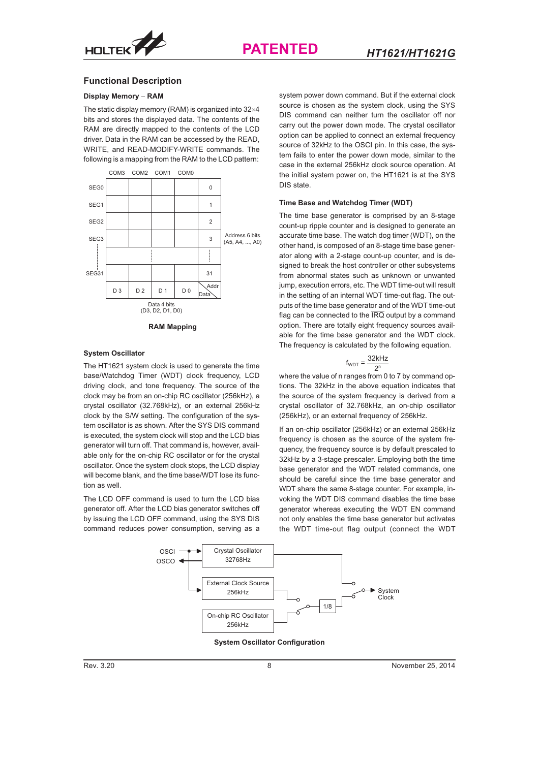

#### **Functional Description**

#### **Display Memory - RAM**

The static display memory (RAM) is organized into  $32\times4$ bits and stores the displayed data. The contents of the RAM are directly mapped to the contents of the LCD driver. Data in the RAM can be accessed by the READ, WRITE, and READ-MODIFY-WRITE commands. The following is a mapping from the RAM to the LCD pattern:



#### **System Oscillator**

The HT1621 system clock is used to generate the time base/Watchdog Timer (WDT) clock frequency, LCD driving clock, and tone frequency. The source of the clock may be from an on-chip RC oscillator (256kHz), a crystal oscillator (32.768kHz), or an external 256kHz clock by the S/W setting. The configuration of the system oscillator is as shown. After the SYS DIS command is executed, the system clock will stop and the LCD bias generator will turn off. That command is, however, available only for the on-chip RC oscillator or for the crystal oscillator. Once the system clock stops, the LCD display will become blank, and the time base/WDT lose its function as well.

The LCD OFF command is used to turn the LCD bias generator off. After the LCD bias generator switches off by issuing the LCD OFF command, using the SYS DIS command reduces power consumption, serving as a

system power down command. But if the external clock source is chosen as the system clock, using the SYS DIS command can neither turn the oscillator off nor carry out the power down mode. The crystal oscillator option can be applied to connect an external frequency source of 32kHz to the OSCI pin. In this case, the system fails to enter the power down mode, similar to the case in the external 256kHz clock source operation. At the initial system power on, the HT1621 is at the SYS DIS state.

#### **Time Base and Watchdog Timer (WDT)**

The time base generator is comprised by an 8-stage count-up ripple counter and is designed to generate an accurate time base. The watch dog timer (WDT), on the other hand, is composed of an 8-stage time base generator along with a 2-stage count-up counter, and is designed to break the host controller or other subsystems from abnormal states such as unknown or unwanted jump, execution errors, etc. The WDT time-out will result in the setting of an internal WDT time-out flag. The outputs of the time base generator and of the WDT time-out flag can be connected to the  $\overline{IRQ}$  output by a command option. There are totally eight frequency sources available for the time base generator and the WDT clock. The frequency is calculated by the following equation.

$$
f_{WDT} = \frac{32kHz}{2^n}
$$

where the value of n ranges from 0 to 7 by command options. The 32kHz in the above equation indicates that the source of the system frequency is derived from a crystal oscillator of 32.768kHz, an on-chip oscillator (256kHz), or an external frequency of 256kHz.

If an on-chip oscillator (256kHz) or an external 256kHz frequency is chosen as the source of the system frequency, the frequency source is by default prescaled to 32kHz by a 3-stage prescaler. Employing both the time base generator and the WDT related commands, one should be careful since the time base generator and WDT share the same 8-stage counter. For example, invoking the WDT DIS command disables the time base generator whereas executing the WDT EN command not only enables the time base generator but activates the WDT time-out flag output (connect the WDT



**System Oscillator Configuration**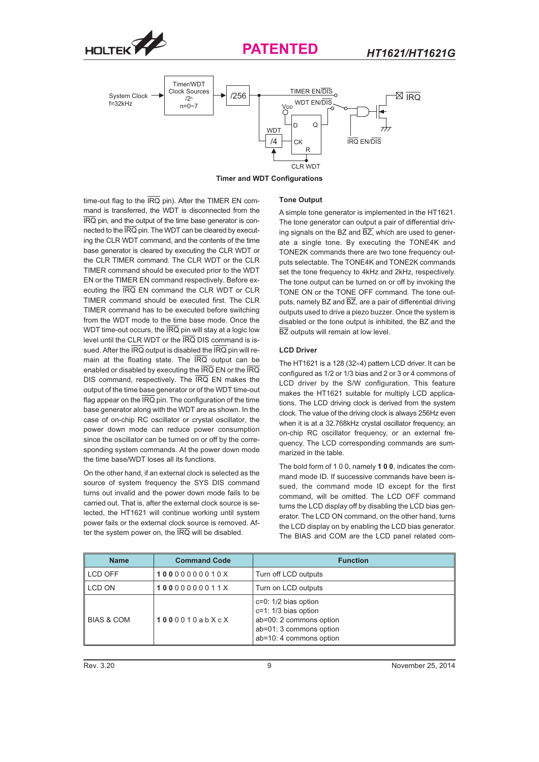



**Timer and WDT Configurations**

time-out flag to the  $\overline{IRQ}$  pin). After the TIMER EN command is transferred, the WDT is disconnected from the IRQ pin, and the output of the time base generator is connected to the IRQ pin. The WDT can be cleared by executing the CLR WDT command, and the contents of the time base generator is cleared by executing the CLR WDT or the CLR TIMER command. The CLR WDT or the CLR TIMER command should be executed prior to the WDT EN or the TIMER EN command respectively. Before executing the IRQ EN command the CLR WDT or CLR TIMER command should be executed first. The CLR TIMER command has to be executed before switching from the WDT mode to the time base mode. Once the WDT time-out occurs, the  $\overline{IRQ}$  pin will stay at a logic low level until the CLR WDT or the IRQ DIS command is issued. After the  $\overline{\text{IRQ}}$  output is disabled the  $\overline{\text{IRQ}}$  pin will remain at the floating state. The IRQ output can be enabled or disabled by executing the  $\overline{\text{IRQ}}$  EN or the  $\overline{\text{IRQ}}$ DIS command, respectively. The IRQ EN makes the output of the time base generator or of the WDT time-out flag appear on the  $\overline{\text{IRQ}}$  pin. The configuration of the time base generator along with the WDT are as shown. In the case of on-chip RC oscillator or crystal oscillator, the power down mode can reduce power consumption since the oscillator can be turned on or off by the corresponding system commands. At the power down mode the time base/WDT loses all its functions.

On the other hand, if an external clock is selected as the source of system frequency the SYS DIS command turns out invalid and the power down mode fails to be carried out. That is, after the external clock source is selected, the HT1621 will continue working until system power fails or the external clock source is removed. After the system power on, the  $\overline{\text{IRQ}}$  will be disabled.

#### **Tone Output**

A simple tone generator is implemented in the HT1621. The tone generator can output a pair of differential driving signals on the BZ and  $\overline{BZ}$ , which are used to generate a single tone. By executing the TONE4K and TONE2K commands there are two tone frequency outputs selectable. The TONE4K and TONE2K commands set the tone frequency to 4kHz and 2kHz, respectively. The tone output can be turned on or off by invoking the TONE ON or the TONE OFF command. The tone outputs, namely BZ and  $\overline{BZ}$ , are a pair of differential driving outputs used to drive a piezo buzzer. Once the system is disabled or the tone output is inhibited, the BZ and the BZ outputs will remain at low level.

#### **LCD Driver**

The HT1621 is a 128 (32 $\times$ 4) pattern LCD driver. It can be configured as 1/2 or 1/3 bias and 2 or 3 or 4 commons of LCD driver by the S/W configuration. This feature makes the HT1621 suitable for multiply LCD applications. The LCD driving clock is derived from the system clock. The value of the driving clock is always 256Hz even when it is at a 32.768kHz crystal oscillator frequency, an on-chip RC oscillator frequency, or an external frequency. The LCD corresponding commands are summarized in the table.

The bold form of 1 0 0, namely **100**, indicates the command mode ID. If successive commands have been issued, the command mode ID except for the first command, will be omitted. The LCD OFF command turns the LCD display off by disabling the LCD bias generator. The LCD ON command, on the other hand, turns the LCD display on by enabling the LCD bias generator. The BIAS and COM are the LCD panel related com-

| <b>Name</b>           | <b>Command Code</b> | <b>Function</b>                                                                                                                    |
|-----------------------|---------------------|------------------------------------------------------------------------------------------------------------------------------------|
| LCD OFF               | 10000000010X        | Turn off LCD outputs                                                                                                               |
| LCD ON                | 10000000011X        | Turn on LCD outputs                                                                                                                |
| <b>BIAS &amp; COM</b> | 1000010abXcX        | $c=0$ : 1/2 bias option<br>$c=1: 1/3$ bias option<br>ab=00: 2 commons option<br>ab=01: 3 commons option<br>ab=10: 4 commons option |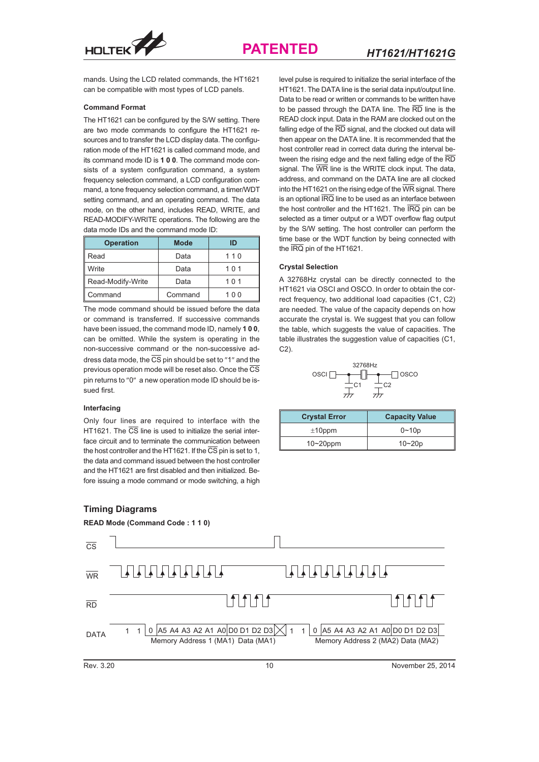



mands. Using the LCD related commands, the HT1621 can be compatible with most types of LCD panels.

#### **Command Format**

The HT1621 can be configured by the S/W setting. There are two mode commands to configure the HT1621 resources and to transfer the LCD display data. The configuration mode of the HT1621 is called command mode, and its command mode ID is **100**. The command mode consists of a system configuration command, a system frequency selection command, a LCD configuration command, a tone frequency selection command, a timer/WDT setting command, and an operating command. The data mode, on the other hand, includes READ, WRITE, and READ-MODIFY-WRITE operations. The following are the data mode IDs and the command mode ID:

| <b>Operation</b>  | <b>Mode</b> | חו  |
|-------------------|-------------|-----|
| Read              | Data        | 110 |
| Write             | Data        |     |
| Read-Modify-Write | Data        |     |
| Command           | Command     | 100 |

The mode command should be issued before the data or command is transferred. If successive commands have been issued, the command mode ID, namely **100**, can be omitted. While the system is operating in the non-successive command or the non-successive address data mode, the  $\overline{\text{CS}}$  pin should be set to "1" and the previous operation mode will be reset also. Once the  $\overline{\text{CS}}$ pin returns to "0" a new operation mode ID should be issued first.

#### **Interfacing**

Only four lines are required to interface with the HT1621. The  $\overline{\text{CS}}$  line is used to initialize the serial interface circuit and to terminate the communication between the host controller and the HT1621. If the  $\overline{\text{CS}}$  pin is set to 1, the data and command issued between the host controller and the HT1621 are first disabled and then initialized. Before issuing a mode command or mode switching, a high

### **Timing Diagrams**

*HT1621/HT1621G* level pulse is required to initialize the serial interface of the HT1621. The DATA line is the serial data input/output line. Data to be read or written or commands to be written have to be passed through the DATA line. The  $\overline{\text{RD}}$  line is the READ clock input. Data in the RAM are clocked out on the falling edge of the  $\overline{\text{RD}}$  signal, and the clocked out data will then appear on the DATA line. It is recommended that the host controller read in correct data during the interval between the rising edge and the next falling edge of the  $\overline{RD}$ signal. The  $\overline{\text{WR}}$  line is the WRITE clock input. The data, address, and command on the DATA line are all clocked into the HT1621 on the rising edge of the  $\overline{\text{WR}}$  signal. There is an optional  $\overline{\text{IRQ}}$  line to be used as an interface between the host controller and the HT1621. The  $\overline{\text{IRQ}}$  pin can be selected as a timer output or a WDT overflow flag output by the S/W setting. The host controller can perform the time base or the WDT function by being connected with the  $\overline{\text{IRQ}}$  pin of the HT1621.

#### **Crystal Selection**

A 32768Hz crystal can be directly connected to the HT1621 via OSCI and OSCO. In order to obtain the correct frequency, two additional load capacities (C1, C2) are needed. The value of the capacity depends on how accurate the crystal is. We suggest that you can follow the table, which suggests the value of capacities. The table illustrates the suggestion value of capacities (C1, C2).

|                   | 32768Hz |       |
|-------------------|---------|-------|
| OSCI <sup>[</sup> |         | losco |
|                   |         |       |
|                   |         |       |

| <b>Crystal Error</b> | <b>Capacity Value</b> |
|----------------------|-----------------------|
| $±10$ ppm            | $0 - 10p$             |
| $10 - 20$ ppm        | $10 - 20p$            |

![](_page_9_Figure_16.jpeg)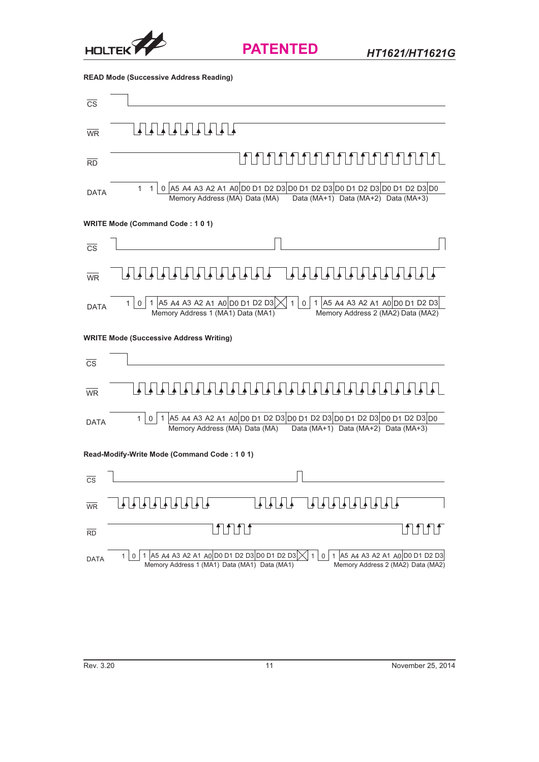![](_page_10_Picture_0.jpeg)

**READ Mode (Successive Address Reading)** 

| CS                     |                                                                                                                                                                                                                 |
|------------------------|-----------------------------------------------------------------------------------------------------------------------------------------------------------------------------------------------------------------|
| <b>WR</b>              | <u>+ + + + + + + + +</u>                                                                                                                                                                                        |
| <b>RD</b>              | ↑ ↑ ↑ ↑ ↑ ↑ ↑ ↑ ↑ ↑ ↑ ↑ ↑ ↑                                                                                                                                                                                     |
| <b>DATA</b>            | 0 A5 A4 A3 A2 A1 A0 D0 D1 D2 D3 D0 D1 D2 D3 D0 D1 D2 D3 D0 D1 D2 D3 D0<br>$\mathbf{1}$<br>$\mathbf{1}$<br>Memory Address (MA) Data (MA)  Data (MA+1) Data (MA+2) Data (MA+3)                                    |
|                        | <b>WRITE Mode (Command Code: 101)</b>                                                                                                                                                                           |
| $\overline{\text{CS}}$ |                                                                                                                                                                                                                 |
| $\overline{\text{WR}}$ |                                                                                                                                                                                                                 |
| <b>DATA</b>            | 0 1 A5 A4 A3 A2 A1 A0 D0 D1 D2 D3<br>0 1 A5 A4 A3 A2 A1 A0 D0 D1 D2 D3<br>$\mathbf{1}$<br>1 <sup>1</sup><br>Memory Address 1 (MA1) Data (MA1)<br>Memory Address 2 (MA2) Data (MA2)                              |
|                        | <b>WRITE Mode (Successive Address Writing)</b>                                                                                                                                                                  |
| $\overline{\text{CS}}$ |                                                                                                                                                                                                                 |
| <b>WR</b>              |                                                                                                                                                                                                                 |
| <b>DATA</b>            | 1 45 A4 A3 A2 A1 A0 D0 D1 D2 D3 D0 D1 D2 D3 D0 D1 D2 D3 D0 D1 D2 D3 D0<br>1 0 <br>Data (MA+1) Data (MA+2) Data (MA+3)<br>Memory Address (MA) Data (MA)                                                          |
|                        | Read-Modify-Write Mode (Command Code: 101)                                                                                                                                                                      |
| CS                     |                                                                                                                                                                                                                 |
| <b>WR</b>              | ┹┠╋┠╋┠╋┠╋┠╋┠╋<br>▙▐▟▕▟▕▟▕▟▕▟▕▟▕▟▔▟<br>내내내내                                                                                                                                                                      |
| <b>RD</b>              | <b>fifitif</b><br>JU LI LI                                                                                                                                                                                      |
| <b>DATA</b>            | 1 A5 A4 A3 A2 A1 A0 D0 D1 D2 D3 D0 D1 D2 D3<br>1 A5 A4 A3 A2 A1 A0 D0 D1 D2 D3<br>$\mathbf{1}$<br>$\overline{0}$<br>0<br>1<br>Memory Address 1 (MA1) Data (MA1) Data (MA1)<br>Memory Address 2 (MA2) Data (MA2) |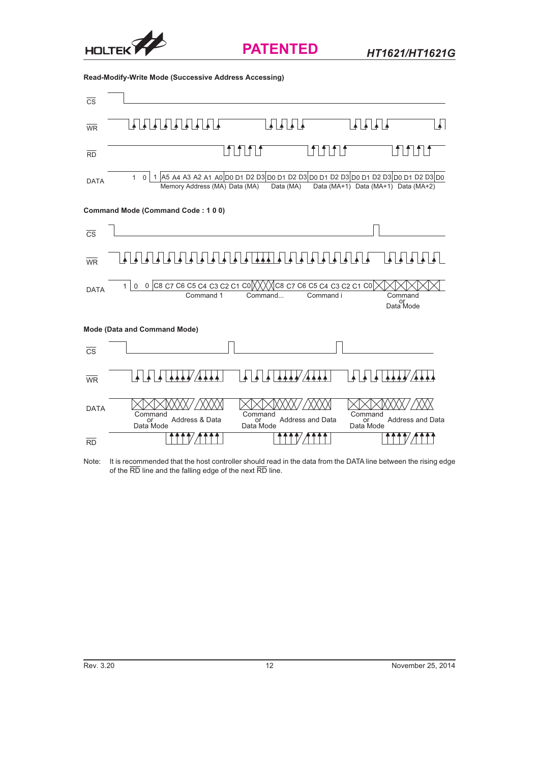![](_page_11_Picture_0.jpeg)

*HT1621/HT1621G*

**Read-Modify-Write Mode (Successive Address Accessing)**

| $\overline{\text{cs}}$ |                                                                                                                                                                                                        |
|------------------------|--------------------------------------------------------------------------------------------------------------------------------------------------------------------------------------------------------|
| $\overline{\text{WR}}$ | <b>ALALA</b><br>┹╹                                                                                                                                                                                     |
| <b>RD</b>              | $f f f$                                                                                                                                                                                                |
| <b>DATA</b>            | 1 A5 A4 A3 A2 A1 A0 D0 D1 D2 D3 D0 D1 D2 D3 D0 D1 D2 D3 D0 D1 D2 D3 D0 D1 D2 D3 D0<br>$\mathbf{1}$<br>$\mathbf 0$<br>Memory Address (MA) Data (MA)<br>Data (MA)<br>Data (MA+1) Data (MA+1) Data (MA+2) |
|                        | Command Mode (Command Code: 100)                                                                                                                                                                       |
| $\overline{\text{CS}}$ |                                                                                                                                                                                                        |
| $\overline{\text{WR}}$ |                                                                                                                                                                                                        |
| <b>DATA</b>            | 0 C8 C7 C6 C5 C4 C3 C2 C1 C0 $\chi$ $\chi$ $\chi$ c8 C7 C6 C5 C4 C3 C2 C1 C0<br>$\mathbf{1}$<br>$\Omega$<br>Command i<br>Command 1<br>Command<br>Command<br>or<br>Data Mode                            |
|                        | <b>Mode (Data and Command Mode)</b>                                                                                                                                                                    |
| <b>CS</b>              |                                                                                                                                                                                                        |
| <b>WR</b>              |                                                                                                                                                                                                        |
| <b>DATA</b>            | Command<br>Command<br>Command<br>Address & Data<br>Address and Data<br>Address and Data<br>or<br>Data Mode<br>or<br>Data Mode<br>or<br>Data Mode                                                       |
| <b>RD</b>              |                                                                                                                                                                                                        |

Note: It is recommended that the host controller should read in the data from the DATA line between the rising edge of the RD line and the falling edge of the next RD line.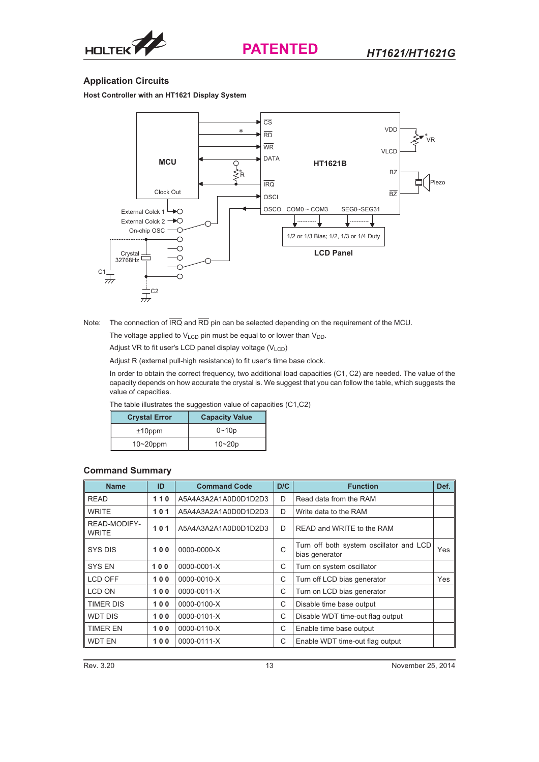![](_page_12_Picture_0.jpeg)

![](_page_12_Picture_2.jpeg)

## **Application Circuits**

**Host Controller with an HT1621 Display System**

![](_page_12_Figure_5.jpeg)

Note: The connection of  $\overline{IRQ}$  and  $\overline{RD}$  pin can be selected depending on the requirement of the MCU.

The voltage applied to  $V_{LCD}$  pin must be equal to or lower than  $V_{DD}$ .

Adjust VR to fit user's LCD panel display voltage  $(V_{LCD})$ 

Adjust R (external pull-high resistance) to fit user's time base clock.

In order to obtain the correct frequency, two additional load capacities (C1, C2) are needed. The value of the capacity depends on how accurate the crystal is. We suggest that you can follow the table, which suggests the value of capacities.

The table illustrates the suggestion value of capacities (C1,C2)

| <b>Crystal Error</b> | <b>Capacity Value</b> |
|----------------------|-----------------------|
| $±10$ ppm            | $0 - 10p$             |
| $10-20$ ppm          | $10 - 20p$            |

## **Command Summary**

| <b>Name</b>                  | ID  | <b>Command Code</b>  | D/C                                                            | <b>Function</b>                  | Def. |
|------------------------------|-----|----------------------|----------------------------------------------------------------|----------------------------------|------|
| <b>READ</b>                  | 110 | A5A4A3A2A1A0D0D1D2D3 | D                                                              | Read data from the RAM           |      |
| <b>WRITE</b>                 | 101 | A5A4A3A2A1A0D0D1D2D3 | D                                                              | Write data to the RAM            |      |
| READ-MODIFY-<br><b>WRITE</b> | 101 | A5A4A3A2A1A0D0D1D2D3 | D                                                              | READ and WRITE to the RAM        |      |
| SYS DIS                      | 100 | 0000-0000-X          | Turn off both system oscillator and LCD<br>C<br>bias generator |                                  | Yes  |
| <b>SYS EN</b>                | 100 | 0000-0001-X          | C                                                              | Turn on system oscillator        |      |
| LCD OFF                      | 100 | 0000-0010-X          | C                                                              | Turn off LCD bias generator      |      |
| <b>LCD ON</b>                | 100 | 0000-0011-X          | C                                                              | Turn on LCD bias generator       |      |
| TIMER DIS                    | 100 | 0000-0100-X          | C                                                              | Disable time base output         |      |
| <b>WDT DIS</b>               | 100 | 0000-0101-X          | C                                                              | Disable WDT time-out flag output |      |
| <b>TIMER EN</b>              | 100 | 0000-0110-X          | C                                                              | Enable time base output          |      |
| <b>WDT EN</b>                | 100 | 0000-0111-X          | C                                                              | Enable WDT time-out flag output  |      |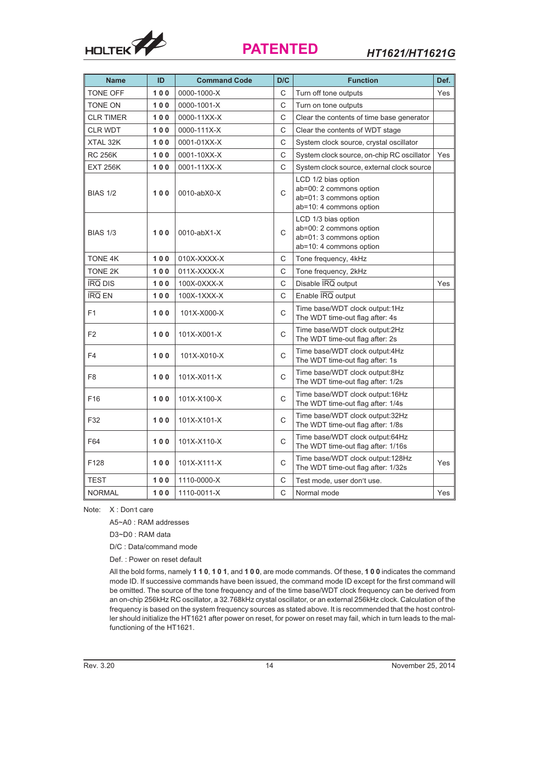![](_page_13_Picture_0.jpeg)

| <b>Name</b>      | ID    | <b>Command Code</b> | D/C | <b>Function</b>                                                                                      | Def. |
|------------------|-------|---------------------|-----|------------------------------------------------------------------------------------------------------|------|
| <b>TONE OFF</b>  | 100   | 0000-1000-X         | C   | Turn off tone outputs                                                                                | Yes  |
| <b>TONE ON</b>   | 100   | 0000-1001-X         | C   | Turn on tone outputs                                                                                 |      |
| <b>CLR TIMER</b> | 100   | 0000-11XX-X         | C   | Clear the contents of time base generator                                                            |      |
| <b>CLR WDT</b>   | $100$ | 0000-111X-X         | C   | Clear the contents of WDT stage                                                                      |      |
| XTAL 32K         | 100   | 0001-01XX-X         | C   | System clock source, crystal oscillator                                                              |      |
| <b>RC 256K</b>   | 100   | 0001-10XX-X         | C   | System clock source, on-chip RC oscillator                                                           | Yes  |
| <b>EXT 256K</b>  | 100   | 0001-11XX-X         | C   | System clock source, external clock source                                                           |      |
| <b>BIAS 1/2</b>  | 100   | 0010-abX0-X         | C   | LCD 1/2 bias option<br>ab=00: 2 commons option<br>ab=01: 3 commons option<br>ab=10: 4 commons option |      |
| <b>BIAS 1/3</b>  | 100   | 0010-abX1-X         | C   | LCD 1/3 bias option<br>ab=00: 2 commons option<br>ab=01: 3 commons option<br>ab=10: 4 commons option |      |
| <b>TONE 4K</b>   | 100   | 010X-XXXX-X         | C   | Tone frequency, 4kHz                                                                                 |      |
| <b>TONE 2K</b>   | $100$ | 011X-XXXX-X         | C   | Tone frequency, 2kHz                                                                                 |      |
| <b>IRQ DIS</b>   | 100   | 100X-0XXX-X         | C   | Disable IRQ output                                                                                   |      |
| <b>IRQ EN</b>    | 100   | 100X-1XXX-X         | C   | Enable IRQ output                                                                                    |      |
| F <sub>1</sub>   | 100   | 101X-X000-X         | C   | Time base/WDT clock output:1Hz<br>The WDT time-out flag after: 4s                                    |      |
| F <sub>2</sub>   | 100   | 101X-X001-X         | C   | Time base/WDT clock output:2Hz<br>The WDT time-out flag after: 2s                                    |      |
| F <sub>4</sub>   | 100   | 101X-X010-X         | C   | Time base/WDT clock output:4Hz<br>The WDT time-out flag after: 1s                                    |      |
| F <sub>8</sub>   | 100   | 101X-X011-X         | C   | Time base/WDT clock output:8Hz<br>The WDT time-out flag after: 1/2s                                  |      |
| F16              | 100   | 101X-X100-X         | C   | Time base/WDT clock output:16Hz<br>The WDT time-out flag after: 1/4s                                 |      |
| F32              | 100   | 101X-X101-X         | C   | Time base/WDT clock output:32Hz<br>The WDT time-out flag after: 1/8s                                 |      |
| F64              | 100   | 101X-X110-X         | C   | Time base/WDT clock output:64Hz<br>The WDT time-out flag after: 1/16s                                |      |
| F128             | 100   | 101X-X111-X         | C   | Time base/WDT clock output:128Hz<br>The WDT time-out flag after: 1/32s                               | Yes  |
| <b>TEST</b>      | 100   | 1110-0000-X         | C   | Test mode, user don't use.                                                                           |      |
| <b>NORMAL</b>    | 100   | 1110-0011-X         | C   | Normal mode                                                                                          | Yes  |

Note: X: Don't care

A5~A0 : RAM addresses

D3~D0 : RAM data

D/C : Data/command mode

Def. : Power on reset default

All the bold forms, namely **110**, **101**, and **100**, are mode commands. Of these, **100** indicates the command mode ID. If successive commands have been issued, the command mode ID except for the first command will be omitted. The source of the tone frequency and of the time base/WDT clock frequency can be derived from an on-chip 256kHz RC oscillator, a 32.768kHz crystal oscillator, or an external 256kHz clock. Calculation of the frequency is based on the system frequency sources as stated above. It is recommended that the host controller should initialize the HT1621 after power on reset, for power on reset may fail, which in turn leads to the malfunctioning of the HT1621.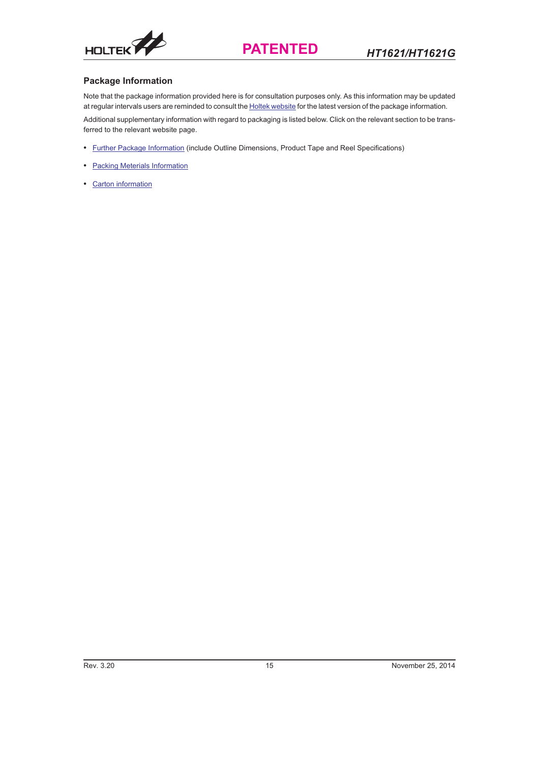## **Package Information**

Note that the package information provided here is for consultation purposes only. As this information may be updated at regular intervals users are reminded to consult the [Holtek website](http://www.holtek.com) for the latest version of the package information.

Additional supplementary information with regard to packaging is listed below. Click on the relevant section to be transferred to the relevant website page.

- [Further Package Information](http://www.holtek.com.tw/english/literature/package.pdf) (include Outline Dimensions, Product Tape and Reel Specifications)
- [Packing Meterials Information](http://www.holtek.com.tw/english/literature/packing-e.pdf)
- [Carton information](http://www.holtek.com.tw/english/literature/carton.pdf)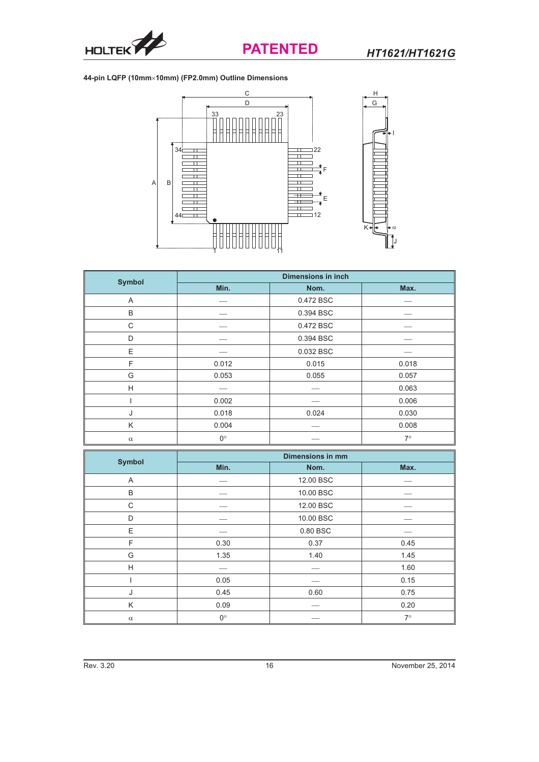![](_page_15_Picture_0.jpeg)

## **44-pin LQFP (10mm10mm) (FP2.0mm) Outline Dimensions**

![](_page_15_Figure_4.jpeg)

| <b>Symbol</b> | <b>Dimensions in inch</b> |           |           |  |
|---------------|---------------------------|-----------|-----------|--|
|               | Min.                      | Nom.      | Max.      |  |
| A             |                           | 0.472 BSC |           |  |
| B             |                           | 0.394 BSC |           |  |
| C             |                           | 0.472 BSC |           |  |
| D             |                           | 0.394 BSC |           |  |
| E             |                           | 0.032 BSC |           |  |
| F             | 0.012                     | 0.015     | 0.018     |  |
| G             | 0.053                     | 0.055     | 0.057     |  |
| H             |                           |           | 0.063     |  |
|               | 0.002                     |           | 0.006     |  |
| J             | 0.018                     | 0.024     | 0.030     |  |
| K             | 0.004                     |           | 0.008     |  |
| $\alpha$      | $0^{\circ}$               |           | $7^\circ$ |  |

| <b>Symbol</b> | <b>Dimensions in mm</b> |           |           |  |
|---------------|-------------------------|-----------|-----------|--|
|               | Min.                    | Nom.      | Max.      |  |
| $\mathsf{A}$  |                         | 12.00 BSC |           |  |
| B             |                         | 10.00 BSC |           |  |
| C             |                         | 12.00 BSC |           |  |
| D             |                         | 10.00 BSC |           |  |
| E             |                         | 0.80 BSC  |           |  |
| F             | 0.30                    | 0.37      | 0.45      |  |
| G             | 1.35                    | 1.40      | 1.45      |  |
| H             |                         |           | 1.60      |  |
|               | 0.05                    |           | 0.15      |  |
| J             | 0.45                    | 0.60      | 0.75      |  |
| Κ             | 0.09                    |           | 0.20      |  |
| $\alpha$      | $0^{\circ}$             |           | $7^\circ$ |  |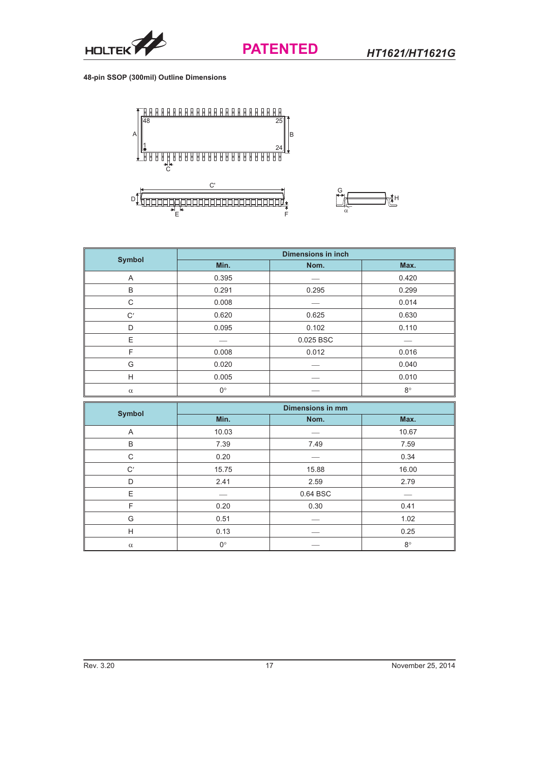![](_page_16_Picture_0.jpeg)

**48-pin SSOP (300mil) Outline Dimensions**

![](_page_16_Figure_4.jpeg)

![](_page_16_Figure_5.jpeg)

| <b>Symbol</b> | <b>Dimensions in inch</b> |           |             |  |
|---------------|---------------------------|-----------|-------------|--|
|               | Min.                      | Nom.      | Max.        |  |
| A             | 0.395                     |           | 0.420       |  |
| B             | 0.291                     | 0.295     | 0.299       |  |
| C             | 0.008                     |           | 0.014       |  |
| C'            | 0.620                     | 0.625     | 0.630       |  |
| D             | 0.095                     | 0.102     | 0.110       |  |
| E             |                           | 0.025 BSC |             |  |
| F             | 0.008                     | 0.012     | 0.016       |  |
| G             | 0.020                     |           | 0.040       |  |
| H             | 0.005                     |           | 0.010       |  |
| $\alpha$      | $0^{\circ}$               |           | $8^{\circ}$ |  |

| <b>Symbol</b> | <b>Dimensions in mm</b> |          |             |  |
|---------------|-------------------------|----------|-------------|--|
|               | Min.                    | Nom.     | Max.        |  |
| Α             | 10.03                   |          | 10.67       |  |
| B             | 7.39                    | 7.49     | 7.59        |  |
| C             | 0.20                    |          | 0.34        |  |
| C'            | 15.75                   | 15.88    | 16.00       |  |
| D             | 2.41                    | 2.59     | 2.79        |  |
| E             |                         | 0.64 BSC |             |  |
| F             | 0.20                    | 0.30     | 0.41        |  |
| G             | 0.51                    |          | 1.02        |  |
| H             | 0.13                    |          | 0.25        |  |
| $\alpha$      | $0^{\circ}$             |          | $8^{\circ}$ |  |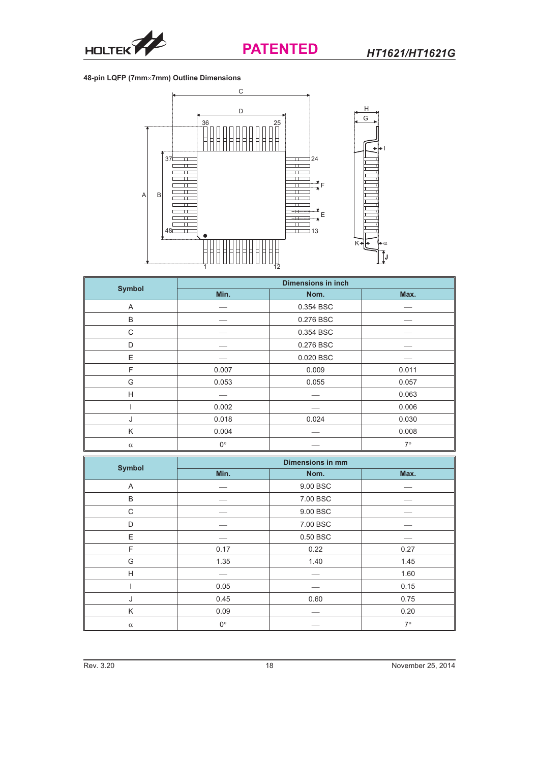![](_page_17_Picture_0.jpeg)

## **48-pin LQFP (7mm7mm) Outline Dimensions**

![](_page_17_Figure_4.jpeg)

| <b>Symbol</b> | <b>Dimensions in inch</b> |           |           |  |
|---------------|---------------------------|-----------|-----------|--|
|               | Min.                      | Nom.      | Max.      |  |
| A             |                           | 0.354 BSC |           |  |
| B             |                           | 0.276 BSC |           |  |
| C             |                           | 0.354 BSC |           |  |
| D             |                           | 0.276 BSC |           |  |
| E             |                           | 0.020 BSC |           |  |
| F             | 0.007                     | 0.009     | 0.011     |  |
| G             | 0.053                     | 0.055     | 0.057     |  |
| H             |                           |           | 0.063     |  |
|               | 0.002                     |           | 0.006     |  |
| J             | 0.018                     | 0.024     | 0.030     |  |
| K             | 0.004                     |           | 0.008     |  |
| $\alpha$      | $0^{\circ}$               |           | $7^\circ$ |  |

|               | <b>Dimensions in mm</b> |          |           |  |
|---------------|-------------------------|----------|-----------|--|
| <b>Symbol</b> | Min.                    | Nom.     | Max.      |  |
| A             |                         | 9.00 BSC |           |  |
| B             |                         | 7.00 BSC |           |  |
| C             |                         | 9.00 BSC |           |  |
| D             |                         | 7.00 BSC |           |  |
| E             |                         | 0.50 BSC |           |  |
| F             | 0.17                    | 0.22     | 0.27      |  |
| G             | 1.35                    | 1.40     | 1.45      |  |
| H             |                         |          | 1.60      |  |
|               | 0.05                    |          | 0.15      |  |
| J             | 0.45                    | 0.60     | 0.75      |  |
| K             | 0.09                    |          | 0.20      |  |
| $\alpha$      | $0^{\circ}$             |          | $7^\circ$ |  |